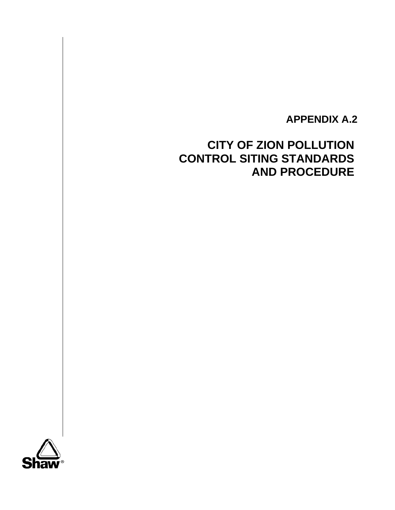# **APPENDIX A.2**

# **CITY OF ZION POLLUTION CONTROL SITING STANDARDS AND PROCEDURE**

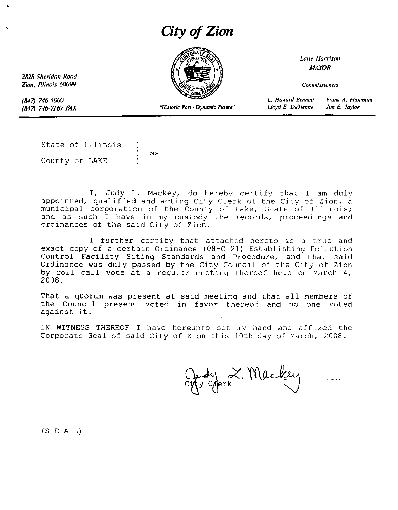# *City of Zion*



*Lane Harrison* MAYOR

*Commissioners*

*Frank A. Flumm;n;* Jim E. *Taylor*

*L. Howard Bennell Lloyd E. DeTIenne*

*Zion, 1/linois 60099*

*2828 Sheridan Road*

*(847) 746-4000* (847) 746-7167 *FAX*

*-Historic Past* **-** *Dynamic Futun"*

State of Illinois  $\mathcal{E}$ ss County of LAKE

I, Judy L. Mackey, do hereby certify that I am duly appointed, qualified and acting City Clerk of the City of Zion, a municipal corporation of the County of Lake, State of Illinois; and as such I have in my custody the records, proceedings and ordinances of the said City of Zion.

<sup>I</sup> further certify that attached hereto is <sup>a</sup> true and exact copy of a certain Ordinance (08-0-21) Establishing Pollution Control Facility Siting Standards and Procedure, and that said Ordinance was duly passed by the City Council of the City of Zion by roll call vote at <sup>a</sup> regular meeting thereof held on March 4, 2008.

That a quorum was present at said meeting and that all members of the Council present voted in favor thereof and no one voted against it.

IN WITNESS THEREOF I have hereunto set my hand and affixed the Corporate Seal of said City of Zion this lOth day of March, 2008.

erk, Mackey

(S E A L)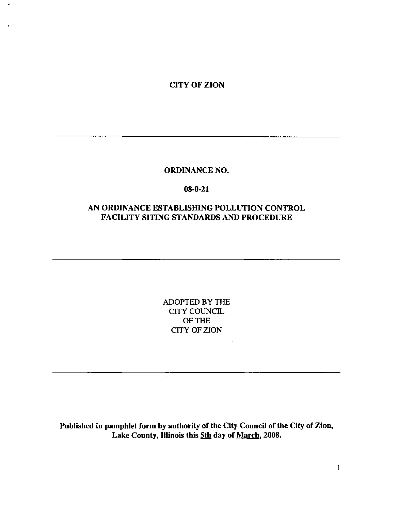CITY OF ZION

#### ORDINANCE NO.

## 08-0-21

## AN ORDINANCE ESTABLISHING POLLUTION CONTROL FACILITY SITING STANDARDS AND PROCEDURE

ADOPTED BY THE CITY COUNCIL OF THE CITY OF ZION

Published in pamphlet form by authority of the City Council of the City of Zion, Lake County, Illinois this 5th day of March, 2008.

 $\mathbf{1}$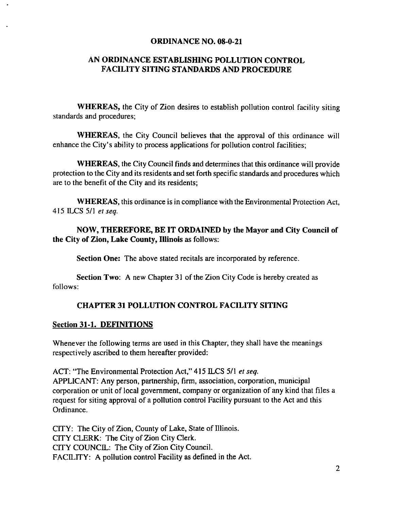#### ORDINANCE NO. 08-0-21

## AN ORDINANCE ESTABLISHING POLLUTION CONTROL FACILITY SITING STANDARDS AND PROCEDURE

WHEREAS, the City of Zion desires to establish pollution control facility siting standards and procedures;

WHEREAS, the City Council believes that the approval of this ordinance will enhance the City's ability to process applications for pollution control facilities;

WHEREAS, the City Council finds and determines that this ordinance will provide protection to the City and its residents and set forth specific standards and procedures which are to the benefit of the City and its residents;

WHEREAS, this ordinance is in compliance with the Environmental Protection Act, 415 ILCS 51l *et seq.*

NOW, THEREFORE, BE IT ORDAINED by the Mayor and City Council of the City of Zion, Lake County, Illinois as follows:

Section One: The above stated recitals are incorporated by reference.

Section Two: A new Chapter 31 of the Zion City Code is hereby created as follows:

## CHAPTER 31 POLLUTION CONTROL FACILITY SITING

## Section 31-1. DEFINITIONS

Whenever the following terms are used in this Chapter, they shall have the meanings respectively ascribed to them hereafter provided:

ACT: "The Environmental Protection Act," 415 ILCS 51l *et seq.* APPLICANT: Any person, partnership, firm, association, corporation, municipal corporation or unit of local government, company or organization of any kind that files a request for siting approval of a pollution control Facility pursuant to the Act and this Ordinance.

CITY: The City of Zion, County of Lake, State of Illinois. CITY CLERK: The City of Zion City Clerk. CITY COUNCIL: The City of Zion City Council. FACILITY: A pollution control Facility as defined in the Act.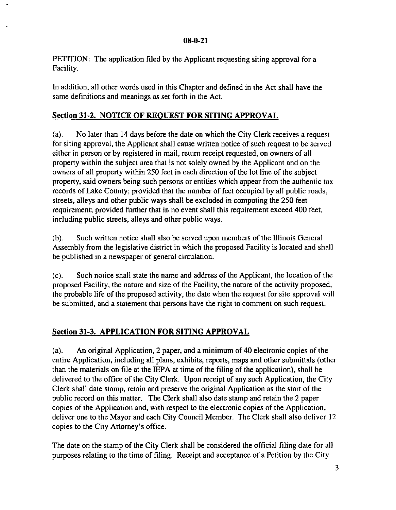PETITION: The application filed by the Applicant requesting siting approval for a Facility.

In addition, all other words used in this Chapter and defined in the Act shall have the same definitions and meanings as set forth in the Act.

## Section 31-2. NOTICE OF REOUEST FOR SITING APPROVAL

(a). No later than 14 days before the date on which the City Clerk receives a request for siting approval, the Applicant shall cause written notice of such request to be served either in person or by registered in mail, return receipt requested, on owners of all property within the subject area that is not solely owned by the Applicant and on the owners of all property within 250 feet in each direction of the lot line of the subject property, said owners being such persons or entities which appear from the authentic tax records of Lake County; provided that the number of feet occupied by all public roads, streets, alleys and other public ways shall be excluded in computing the 250 feet requirement; provided further that in no event shall this requirement exceed 400 feet, including public streets, alleys and other public ways.

(b). Such written notice shall also be served upon members of the lllinois General Assembly from the legislative district in which the proposed Facility is located and shall be published in a newspaper of general circulation.

(c). Such notice shall state the name and address of the Applicant, the location of the proposed Facility, the nature and size of the Facility, the nature of the activity proposed, the probable life of the proposed activity, the date when the request for site approval will be submitted, and a statement that persons have the right to comment on such request.

## Section 31-3. APPLICATION FOR SITING APPROVAL

(a). An original Application, 2 paper, and a minimum of 40 electronic copies of the entire Application, including all plans, exhibits, reports, maps and other submittals (other than the materials on file at the IEPA at time of the filing of the application), shall be delivered to the office of the City Clerk. Upon receipt of any such Application, the City Clerk shall date stamp, retain and preserve the original Application as the start of the public record on this matter. The Clerk shall also date stamp and retain the 2 paper copies of the Application and, with respect to the electronic copies of the Application, deliver one to the Mayor and each City Council Member. The Clerk shall also deliver 12 copies to the City Attorney's office.

The date on the stamp of the City Clerk shall be considered the official filing date for all purposes relating to the time of filing. Receipt and acceptance of a Petition by the City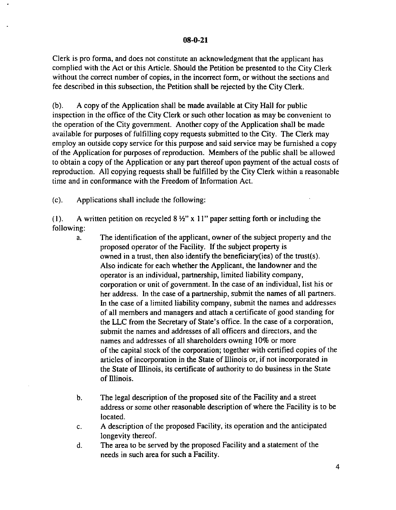Clerk is pro forma, and does not constitute an acknowledgment that the applicant has complied with the Act or this Article. Should the Petition be presented to the City Clerk without the correct number of copies, in the incorrect form, or without the sections and fee described in this subsection, the Petition shall be rejected by the City Clerk.

(b). A copy of the Application shall be made available at City Hall for public inspection in the office of the City Clerk or such other location as may be convenient to the operation of the City government. Another copy of the Application shall be made available for purposes of fulfilling copy requests submitted to the City. The Clerk may employ an outside copy service for this purpose and said service may be furnished a copy of the Application for purposes of reproduction. Members of the public shall be allowed to obtain a copy of the Application or any part thereof upon payment of the actual costs of reproduction. All copying requests shall be fulfilled by the City Clerk within a reasonable time and in conformance with the Freedom of Information Act.

(c). Applications shall include the following:

(1). A written petition on recycled  $8\frac{1}{2}$ " x 11" paper setting forth or including the following:

- a. The identification of the applicant, owner ofthe subject property and the proposed operator of the Facility. If the subject property is owned in a trust, then also identify the beneficiary(ies) of the trust(s). Also indicate for each whether the Applicant, the landowner and the operator is an individual, partnership, limited liability company, corporation or unit of government. In the case of an individual, list his or her address. In the case of a partnership, submit the names of all partners. In the case of a limited liability company, submit the names and addresses of all members and managers and attach a certificate of good standing for the LLC from the Secretary of State's office. In the case of a corporation, submit the names and addresses of all officers and directors, and the names and addresses of all shareholders owning 10% or more of the capital stock of the corporation; together with certified copies of the articles of incorporation in the State of llIinois or, if not incorporated in the State of llIinois, its certificate of authority to do business in the State of Illinois.
- b. The legal description of the proposed site of the Facility and a street address or some other reasonable description of where the Facility is to be located.
- c. A description of the proposed Facility, its operation and the anticipated longevity thereof.
- d. The area to be served by the proposed Facility and a statement of the needs in such area for such a Facility.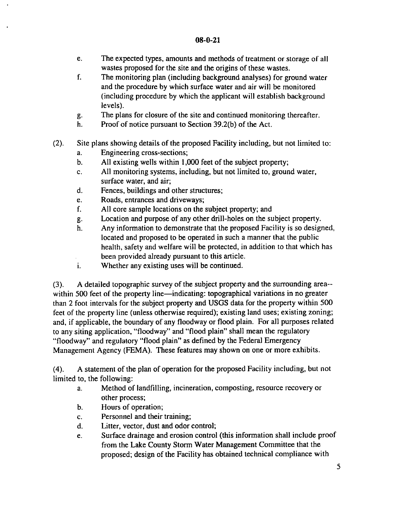- e. The expected types, amounts and methods of treatment or storage of all wastes proposed for the site and the origins of these wastes.
- f. The monitoring plan (including background analyses) for ground water and the procedure by which surface water and air will be monitored (including procedure by which the applicant will establish background levels).
- g. The plans for closure of the site and continued monitoring thereafter.
- h. Proof of notice pursuant to Section 39.2(b) of the Act.
- (2). Site plans showing details of the proposed Facility including, but not limited to:
	- a. Engineering cross-sections;
	- b. All existing wells within 1,000 feet of the subject property;
	- c. All monitoring systems, including, but not limited to, ground water, surface water, and air;
	- d. Fences, buildings and other structures;
	- e. Roads, entrances and driveways;
	- f. All core sample locations on the subject property; and
	- g. Location and purpose of any other drill-holes on the subject property.
	- h. Any information to demonstrate that the proposed Facility is so designed, located and proposed to be operated in such a manner that the public health, safety and welfare will be protected, in addition to that which has been provided already pursuant to this article.
	- i. Whether any existing uses will be continued.

(3). A detailed topographic survey of the subject property and the surrounding area-within 500 feet of the property line—indicating: topographical variations in no greater than 2 foot intervals for the subject property and USGS data for the property within 500 feet of the property line (unless otherwise required); existing land uses; existing zoning; and, if applicable, the boundary of any floodway or flood plain. For all purposes related to any siting application, "floodway" and "flood plain" shall mean the regulatory "floodway" and regulatory "flood plain" as defined by the Federal Emergency Management Agency (FEMA). These features may shown on one or more exhibits.

(4). A statement of the plan of operation for the proposed Facility including, but not limited to, the following:

- a. Method of landfilling, incineration, composting, resource recovery or other process;
- b. Hours of operation;
- c. Personnel and their training;
- d. Litter, vector, dust and odor control;
- e. Surface drainage and erosion control (this information shall include proof from the Lake County Storm Water Management Committee that the proposed; design of the Facility has obtained technical compliance with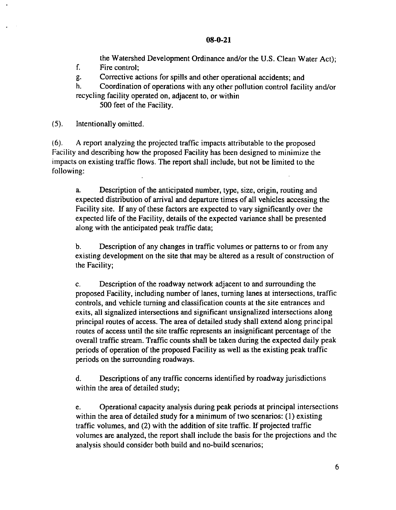the Watershed Development Ordinance and/or the U.S. Clean Water Act);

f. Fire control;

g. Corrective actions for spills and other operational accidents; and

h. Coordination of operations with any other pollution control facility and/or recycling facility operated on, adjacent to, or within

500 feet of the Facility.

(5). Intentionally omitted.

(6). A report analyzing the projected traffic impacts attributable to the proposed Facility and describing how the proposed Facility has been designed to minimize the impacts on existing traffic flows. The report shall include, but not be limited to the following:

a. Description of the anticipated number, type, size, origin, routing and expected distribution of arrival and departure times of all vehicles accessing the Facility site. If any of these factors are expected to vary significantly over the expected life of the Facility, details of the expected variance shall be presented along with the anticipated peak traffic data;

b. Description of any changes in traffic volumes or patterns to or from any existing development on the site that may be altered as a result of construction of the Facility;

c. Description of the roadway network adjacent to and surrounding the proposed Facility, including number of lanes, turning lanes at intersections, traffic controls, and vehicle turning and classification counts at the site entrances and exits, all signalized intersections and significant unsignalized intersections along principal routes of access. The area of detailed study shall extend along principal routes of access until the site traffic represents an insignificant percentage of the overall traffic stream. Traffic counts shall be taken during the expected daily peak periods of operation of the proposed Facility as well as the existing peak traffic periods on the surrounding roadways.

d. Descriptions of any traffic concerns identified by roadway jurisdictions within the area of detailed study;

e. Operational capacity analysis during peak periods at principal intersections within the area of detailed study for a minimum of two scenarios: (I) existing traffic volumes, and (2) with the addition of site traffic. If projected traffic volumes are analyzed, the report shall include the basis for the projections and the analysis should consider both build and no-build scenarios;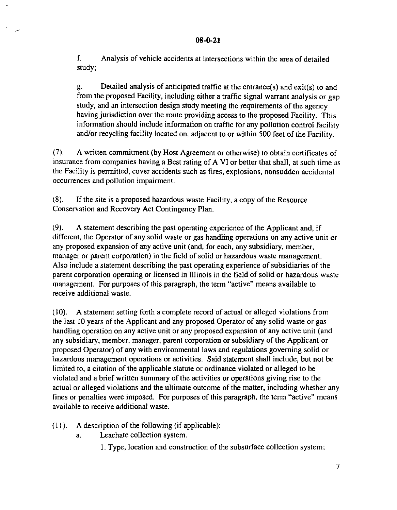f. Analysis of vehicle accidents at intersections within the area of detailed study;

g. Detailed analysis of anticipated traffic at the entrance(s) and exit(s) to and from the proposed Facility, including either a traffic signal warrant analysis or gap study, and an intersection design study meeting the requirements of the agency having jurisdiction over the route providing access to the proposed Facility. This information should include information on traffic for any pollution control facility and/or recycling facility located on, adjacent to or within 500 feet of the Facility.

(7). A written commitment (by Host Agreement or otherwise) to obtain certificates of insurance from companies having a Best rating of A VI or better that shall, at such time as the Facility is permitted, cover accidents such as fires, explosions, nonsudden accidental occurrences and pollution impairment.

(8). If the site is a proposed hazardous waste Facility, a copy of the Resource Conservation and Recovery Act Contingency Plan.

(9). A statement describing the past operating experience of the Applicant and, if different, the Operator of any solid waste or gas handling operations on any active unit or any proposed expansion of any active unit (and, for each, any subsidiary, member, manager or parent corporation) in the field of solid or hazardous waste management. Also include a statement describing the past operating experience of subsidiaries of the parent corporation operating or licensed in Illinois in the field of solid or hazardous waste management. For purposes of this paragraph, the term "active" means available to receive additional waste.

(10). A statement setting forth a complete record of actual or alleged violations from the last 10 years of the Applicant and any proposed Operator of any solid waste or gas handling operation on any active unit or any proposed expansion of any active unit (and any subsidiary, member, manager, parent corporation or subsidiary of the Applicant or proposed Operator) of any with environmental laws and regulations governing solid or hazardous management operations or activities. Said statement shall include, but not be limited to, a citation of the applicable statute or ordinance violated or alleged to be violated and a brief written summary of the activities or operations giving rise to the actual or alleged violations and the ultimate outcome of the matter, including whether any fines or penalties were imposed. For purposes of this paragraph, the term "active" means available to receive additional waste.

- (II). A description of the following (if applicable):
	- a. Leachate collection system.
		- I. Type, location and construction of the subsurface collection system;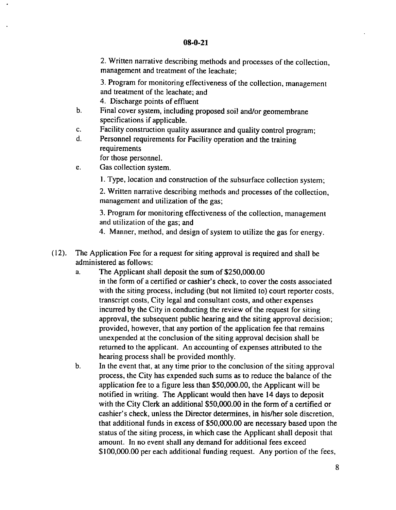2. Written narrative describing methods and processes of the collection, management and treatment of the leachate;

3. Program for monitoring effectiveness of the collection, management and treatment of the leachate; and

4. Discharge *points* of effluent

- b. Final cover system, including proposed soil and/or geomembrane specifications if applicable.
- c. Facility *construction* quality assurance and quality control program;
- d. Personnel requirements for Facility operation and the training requirements

for those personnel.

- e. Gas collection system.
	- \. Type, location and construction of the subsurface collection system;

2. Written narrative describing methods and processes of the collection, management and utilization of the gas;

3. Program for monitoring effectiveness of the collection, management and utilization of the gas; and

4. Manner, method, and design of system to utilize the gas for energy.

- (12). The Application Fee for a request for siting approval is required and shall be administered as follows:
	- a. The Applicant shall deposit the sum of \$250,000.00 in the form of a certified or cashier's check, to cover the costs associated with the siting process, including (but not limited to) court reporter costs. transcript costs, City legal and consultant costs, and other expenses incurred by the City in conducting the review of the request for siting approval, the subsequent public hearing and the siting approval decision; provided, however, that any portion of the application fee that remains unexpended at the conclusion of the siting approval decision shall be returned to the applicant. An accounting of expenses attributed to the hearing process shall be provided monthly.
	- b. In the event that, at any time prior to the conclusion of the siting approval process, the City has expended such sums as to reduce the balance of the application fee to a figure less than \$50,000.00, the Applicant will be notified in writing. The Applicant would then have 14 days to deposit with the City Clerk an additional \$50,000.00 in the form of a certified or cashier's check, unless the Director determines, *in* hislher sole *discretion,* that additional funds in excess of \$50,000.00 are necessary based upon the status of the siting process, in which case the Applicant shall deposit that amount. In no event shall any demand for additional fees exceed \$100,000.00 per each additional funding request. Any portion of the fees,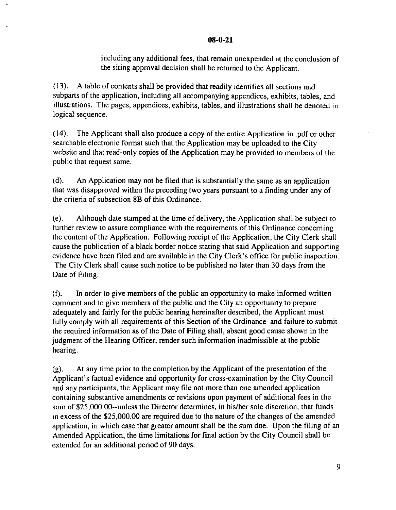including any additional fees, that remain unexpended at the conclusion of the siting approval decision shall be returned to the Applicant.

(13). A table of contents shall be provided that readily identifies all sections and subparts of the application, including all accompanying appendices, exhibits, tables, and illustrations. The pages, appendices, exhibits, tables, and illustrations shall be denoted in logical sequence.

(14). The Applicant shall also produce a copy of the entire Application in .pdf or other searchable electronic format such that the Application may be uploaded to the City website and that read-only copies of the Application may be provided to members of the public that request same.

(d). An Application may not be filed that is substantially the same as an application that was disapproved within the preceding two years pursuant to a finding under any of the criteria of subsection 8B of this Ordinance.

(e). Although date stamped at the time of delivery, the Application shall be subject to further review to assure compliance with the requirements of this Ordinance concerning the content of the Application. Following receipt of the Application, the City Clerk shall cause the publication of a black border notice stating that said Application and supporting evidence have been filed and are available in the City Clerk's office for public inspection. The City Clerk shall cause such notice to be published no later than 30 days from the Date of Filing.

(f). In order to give members of the public an opportunity to make informed written comment and to give members of the public and the City an opportunity to prepare adequately and fairly for the public hearing hereinafter described, the Applicant must fully comply with all requirements of this Section of the Ordinance and failure to submit the required information as of the Date of Filing shall, absent good cause shown in the judgment of the Hearing Officer, render such information inadmissible at the public hearing.

(g). At any time prior to the completion by the Applicant of the presentation of the Applicant's factual evidence and opportunity for cross-examination by the City Council and any participants, the Applicant may file not more than one amended application containing substantive amendments or revisions upon payment of additional fees in the sum of \$25,000.00--unless the Director determines, in his/her sole discretion, that funds in excess of the \$25,000.00 are required due to the nature of the changes of the amended application, in which case that greater amount shall be the sum due. Upon the filing of an Amended Application, the time limitations for final action by the City Council shall be extended for an additional period of 90 days.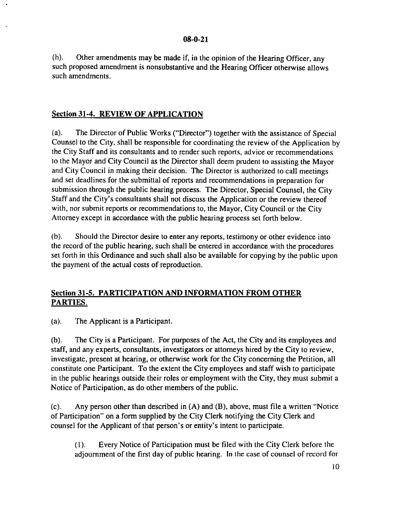(h). Other amendments may be made if, in the opinion of the Hearing Officer, any such proposed amendment is nonsubstantive and the Hearing Officer otherwise allows such amendments.

### **Section 31-4. REVIEW OF APPLICATION**

(a). The Director of Public Works ("Director") together with the assistance of Special Counsel to the City, shall be responsible for coordinating the review of the Application by the City Staff and its consultants and to render such reports, advice or recommendations to the Mayor and City Council as the Director shall deem prudent to assisting the Mayor and City Council in making their decision. The Director is authorized to call meetings and set deadlines for the submittal of reports and recommendations in preparation for submission through the public hearing process. The Director, Special Counsel, the City Staff and the City's consultants shall not discuss the Application or the review thereof with, nor submit reports or recommendations to, the Mayor, City Council or the City Attorney except in accordance with the public hearing process set forth below.

(b). Should the Director desire to enter any reports, testimony or other evidence into the record of the public hearing, such shall be entered in accordance with the procedures set forth in this Ordinance and such shall also be available for copying by the public upon the payment of the actual costs of reproduction.

## **Section 31-5. PARTICIPATION AND INFORMATION FROM OTHER PARTIES.**

(al. The Applicant is a Participant.

(b). The City is a Participant. For purposes of the Act, the City and its employees and staff, and any experts, consultants, investigators or attorneys hired by the City to review, investigate, present at hearing, or otherwise work for the City concerning the Petition, all constitute one Participant. To the extent the City employees and staff wish to participate in the public hearings outside their roles or employment with the City, they must submit a Notice of Participation, as do other members of the public.

(c). Any person other than described in (A) and (B), above, must file a written "Notice of Participation" on a form supplied by the City Clerk notifying the City Clerk and counsel for the Applicant of that person's or entity's intent to participate.

(I). Every Notice of Participation must be filed with the City Clerk before the adjournment of the first day of public hearing. In the case of counsel of record for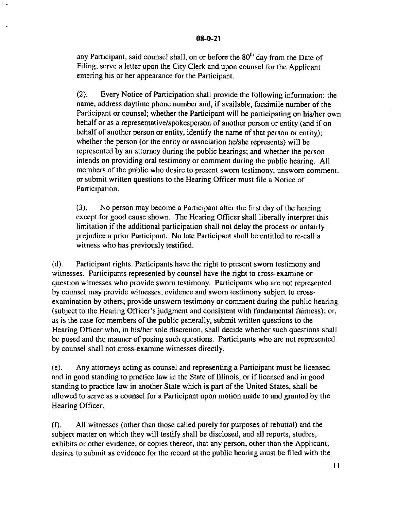any Participant, said counsel shall, on or before the 80<sup>th</sup> day from the Date of Filing, serve a letter upon the City Clerk and upon counsel for the Applicant entering his or her appearance for the Participant.

(2). Every Notice of Participation shall provide the following information: the name, address daytime phone number and, if available, facsimile number of the Participant or counsel; whether the Participant will be participating on his/her own behalf or as a representative/spokesperson of another person or entity (and if on behalf of another person or entity, identify the name of that person or entity); whether the person (or the entity or association he/she represents) will be represented by an attorney during the public hearings; and whether the person intends on providing oral testimony or comment during the public hearing. All members of the public who desire to present sworn testimony, unsworn comment, or submit written questions to the Hearing Officer must file a Notice of Participation.

(3). No person may become a Participant after the first day of the hearing except for good cause shown. The Hearing Officer shall liberally interpret this limitation if the additional participation shall not delay the process or unfairly prejudice a prior Participant. No late Participant shall be entitled to re-call a witness who has previously testified.

(d). Participant rights. Participants have the right to present sworn testimony and witnesses. Participants represented by counsel have the right to cross-examine or question witnesses who provide sworn testimony. Participants who are not represented by counsel may provide witnesses, evidence and sworn testimony subject to crossexamination by others; provide unsworn testimony or comment during the public hearing (subject to the Hearing Officer's judgment and consistent with fundamental fairness); or, as is the case for members of the public generally, submit written questions to the Hearing Officer who, in his/her sole discretion, shall decide whether such questions shall be posed and the manner of posing such questions. Participants who are not represented by counsel shall not cross-examine witnesses directly.

(e). Any attorneys acting as counsel and representing a Participant must be licensed and in good standing to practice law in the State of lllinois, or if licensed and in good standing to practice law in another State which is part of the United States, shall be allowed to serve as a counsel for a Participant upon motion made to and granted by the Hearing Officer.

(f). All witnesses (other than those called purely for purposes of rebuttal) and the subject matter on which they will testify shall be disclosed, and all reports, studies, exhibits or other evidence, or copies thereof, that any person, other than the Applicant, desires to submit as evidence for the record at the public hearing must be filed with the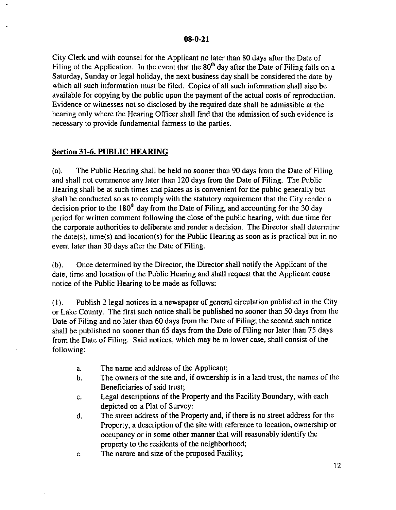City Clerk and with counsel for the Applicant no later than 80 days after the Date of Filing of the Application. In the event that the  $80<sup>th</sup>$  day after the Date of Filing falls on a Saturday, Sunday or legal holiday, the next business day shall be considered the date by which all such information must be filed. Copies of all such information shall also be available for copying by the public upon the payment of the actual costs of reproduction. Evidence or witnesses not so disclosed by the required date shall be admissible at the hearing only where the Hearing Officer shall find that the admission of such evidence is necessary to provide fundamental fairness to the parties.

## **Section 31-6. PUBLIC HEARING**

(a). The Public Hearing shall be held no sooner than 90 days from the Date of Filing and shall not commence any later than 120 days from the Date of Filing. The Public Hearing shall be at such times and places as is convenient for the public generally but shall be conducted so as to comply with the statutory requirement that the City render a decision prior to the  $180<sup>th</sup>$  day from the Date of Filing, and accounting for the 30 day period for written comment following the close of the public hearing, with due time for the corporate authorities to deliberate and render a decision. The Director shall determine the date(s), time(s) and location(s) for the Public Hearing as soon as is practical but in no event later than 30 days after the Date of Filing.

(b). Once determined by the Director, the Director shall notify the Applicant of the date, time and location of the Public Hearing and shall request that the Applicant cause notice of the Public Hearing to be made as follows:

(I). Publish 2 legal notices in a newspaper of general circulation published in the City or Lake County. The first such notice shall be published no sooner than 50 days from the Date of Filing and no later than 60 days from the Date of Filing; the second such notice shall be published no sooner than 65 days from the Date of Filing nor later than 75 days from the Date of Filing. Said notices, which may be in lower case, shall consist of the following:

- a. The name and address of the Applicant;
- b. The owners of the site and, if ownership is in a land trust, the names of the Beneficiaries of said trust;
- c. Legal descriptions of the Property and the Facility Boundary, with each depicted on a Plat of Survey:
- d. The street address of the Property and, if there is no street address for the Property, a description of the site with reference to location, ownership or occupancy or in some other manner that will reasonably identify the property to the residents of the neighborhood;
- e. The nature and size of the proposed Facility;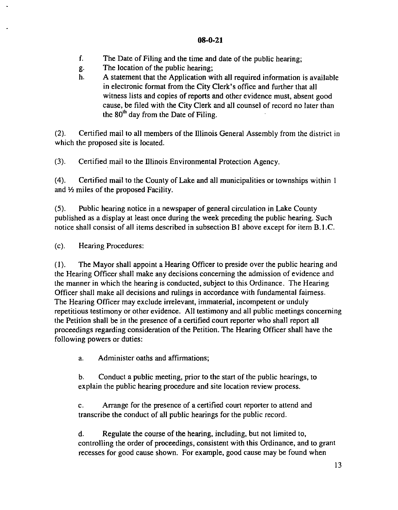- f. The Date of Filing and the time and date of the public hearing;
- g. The location of the public hearing;
- h. A statement that the Application with **all** required information is available in electronic format from the City Clerk's office and further that all witness lists and copies of reports and other evidence must, absent good cause, be filed with the City Clerk and **all** counsel of record no later than the 80<sup>th</sup> day from the Date of Filing.

(2). Certified mail to all members of the lllinois General Assembly from the district in which the proposed site is located.

(3). Certified mail to the lllinois Environmental Protection Agency.

(4). Certified mail to the County of Lake and all municipalities or townships within I and 1/2 miles of the proposed Facility.

(5). Public hearing notice in a newspaper of general circulation in Lake County published as a display at least once during the week preceding the public hearing. Such notice shall consist of all items described in subsection B1 above except for item B.1.C.

(c). Hearing Procedures:

(I). The Mayor shall appoint a Hearing Officer to preside over the public hearing and the Hearing Officer shall make any decisions concerning the admission of evidence and the manner in which the hearing is conducted, subject to this Ordinance. The Hearing Officer shall make all decisions and rulings in accordance with fundamental fairness. The Hearing Officer may exclude irrelevant, immaterial, incompetent or unduly repetitious testimony or other evidence. All testimony and all public meetings concerning the Petition shall be in the presence of a certified court reporter who shall report all proceedings regarding consideration of the Petition. The Hearing Officer shall have the following powers or duties:

a. Administer oaths and affirmations;

b. Conduct a public meeting, prior to the start of the public hearings, to explain the public hearing procedure and site location review process.

c. Arrange for the presence of a certified court reporter to attend and transcribe the conduct of all public hearings for the public record.

d. Regulate the course of the hearing, including, but not limited to, controlling the order of proceedings, consistent with this Ordinance, and to grant recesses for good cause shown. For example, good cause may be found when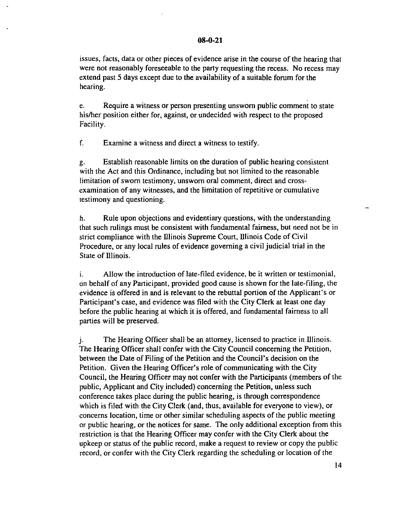issues, facts, data or other pieces of evidence arise in the course of the hearing that were not reasonably foreseeable to the party requesting the recess. No recess may extend past 5 days except due to the availability of a suitable forum for the hearing.

e. Require a witness or person *presenting* unsworn public comment to state his/her position either for, against, or undecided with respect to the proposed Facility.

f. *Examine* a witness and direct a witness to testify.

g. Establish reasonable limits on the duration of public hearing consistent with the Act and this Ordinance, including but not limited to the reasonable limitation of sworn testimony, unsworn oral comment, direct and crossexamination of any witnesses, and the limitation of repetitive or cumulative testimony and questioning.

h. Rule upon objections and evidentiary questions, with the understanding that such rulings must be consistent with fundamental fairness, but need not be in strict compliance *with* the lllinois Supreme Court, lllinois Code of *Civil* Procedure, or any local rules of evidence governing a civil judicial trial in the State of Illinois.

i. Allow the introduction of late-filed evidence, be it written or testimonial, on behalf of any Participant, provided good cause is shown for the late-filing, the evidence is offered in and is relevant to the rebuttal portion of the Applicant's or Participant's case, and evidence was filed with the City Clerk at least one day before the public hearing at which it is offered, and fundamental fairness to all parties will be preserved.

j. The Hearing Officer shall be an attorney, licensed to practice in Illinois. The Hearing Officer shall confer with the City Council concerning the Petition, between the Date of Filing of the Petition and the Council's decision on the Petition. Given the Hearing Officer's role of communicating with the City Council, the Hearing Officer may not confer with the Participants (members of the public, Applicant and City included) concerning the Petition, unless such conference takes place during the public hearing, is through correspondence which is filed with the City Clerk (and, thus, available for everyone to view), or concerns location, time or other similar scheduling aspects of the public meeting or public hearing, or the notices for same. The only additional exception from this restriction is that the Hearing Officer may confer with the City Clerk about the upkeep or status of the public record, make a request to review or copy the public record, or confer with the City Clerk regarding the scheduling or location of the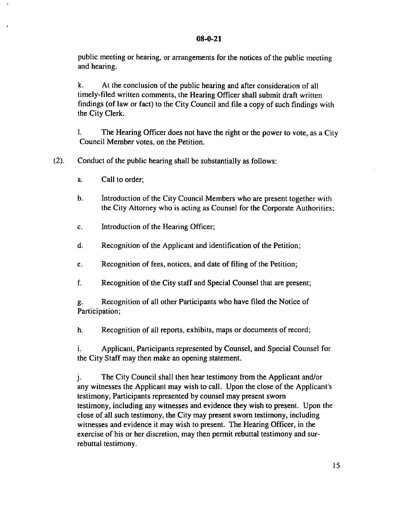public meeting or hearing, or arrangements for the notices of the public meeting and hearing.

k. At the conclusion of the public hearing and after consideration of all timely-filed written comments, the Hearing Officer shall submit draft written findings (of law or fact) to the City Council and file a copy of such findings with the City Clerk.

I. The Hearing Officer does not have the right or the power to vote, as a City Council Member votes, on the Petition.

(2). Conduct of the public hearing shall be substantially as follows:

- a. Call to order;
- b. Introduction of the City Council Members who are present together with the City Attorney who is acting as Counsel for the Corporate Authorities:
- c. Introduction of the Hearing Officer;
- d. Recognition of the Applicant and identification of the Petition;
- e. Recognition of fees, notices, and date of filing of the Petition;
- f. Recognition of the City staff and Special Counsel that are present;

g. Recognition of all other Participants who have filed the Notice of Participation;

h. Recognition of all reports, exhibits, maps or documents of record;

i. Applicant, Participants represented by Counsel, and Special Counsel for the City Staff may then make an opening statement.

j. The City Council shall then hear testimony from the Applicant and/or any witnesses the Applicant may wish to call. Upon the close of the Applicant's testimony, Participants represented by counsel may present sworn testimony, including any witnesses and evidence they wish to present. Upon the close of all such testimony, the City may present sworn testimony, including witnesses and evidence it may wish to present. The Hearing Officer, in the exercise of his or her discretion, may then permit rebuttal testimony and surrebuttal testimony.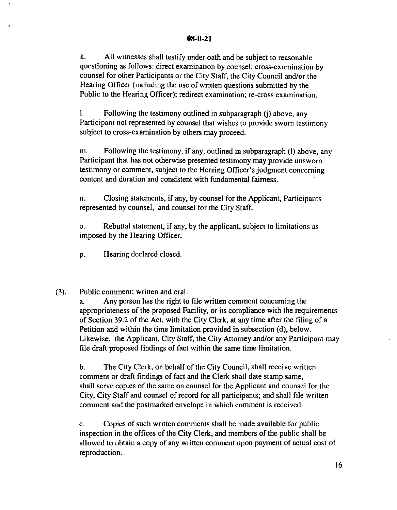k. All witnesses shall testify under oath and be subject to reasonable questioning as follows: direct examination by counsel; cross-examination by counsel for other Participants or the City Staff, the City Council and/or the Hearing Officer (including the use of written questions submitted by the Public to the Hearing Officer); redirect examination; re-cross examination.

I. Following the testimony outlined in subparagraph (j) above, any Participant not represented by counsel that wishes to provide sworn testimony subject to cross-examination by others may proceed.

m. Following the testimony, if any, outlined in subparagraph (I) above, any Participant that has not otherwise presented testimony may provide unsworn testimony or comment, subject to the Hearing Officer's judgment concerning content and duration and consistent with fundamental fairness.

n. Closing statements, if any, by counsel for the Applicant, Participants represented by counsel, and counsel for the City Staff.

o. Rebuttal statement, if any, by the applicant, subject to limitations as imposed by the Hearing Officer.

p. Hearing declared closed.

(3). Public comment: written and oral:

a. Any person has the right to file written comment concerning the appropriateness of the proposed Facility, or its compliance with the requirements of Section 39.2 of the Act, with the City Clerk, at any time after the filing of a Petition and within the time limitation provided in subsection (d), below. Likewise, the Applicant, City Staff, the City Attorney and/or any Participant may file draft proposed findings of fact within the same time limitation.

b. The City Clerk, on behalf of the City Council, shall receive written comment or draft findings of fact and the Clerk shall date stamp same, shall serve copies of the same on counsel for the Applicant and counsel for the City, City Staff and counsel of record for all participants; and shall file written comment and the postmarked envelope in which comment is received.

c. Copies of such written comments shall be made available for public inspection in the offices of the City Clerk, and members of the public shall be allowed to obtain a copy of any written comment upon payment of actual cost of reproduction.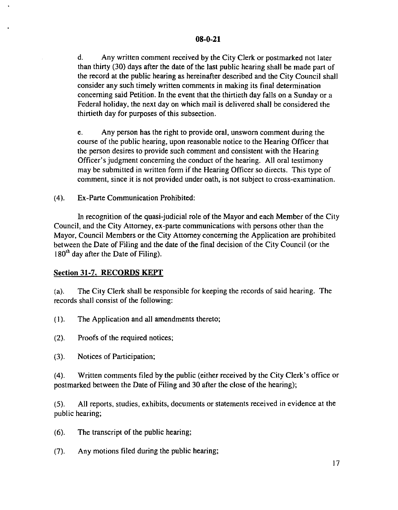d. Any written comment received by the City Clerk or postmarked not later than thirty (30) days after the date of the last public hearing shall be made part of the record at the public hearing as hereinafter described and the City Council shall consider any such timely written comments in making its final determination concerning said Petition. In the event that the thirtieth day falls on a Sunday or a Federal holiday, the next day on which mail is delivered shall be considered the thirtieth day for purposes of this subsection.

e. Any person has the right to provide oral, unsworn comment during the course of the public hearing, upon reasonable notice to the Hearing Officer that the person desires to provide such comment and consistent with the Hearing Officer's judgment concerning the conduct of the hearing. All oral testimony may be submitted in written form if the Hearing Officer so directs. This type of comment, since it is not provided under oath, is not subject to cross-examination.

(4). Ex-Parte Communication Prohibited:

In recognition of the quasi-judicial role of the Mayor and each Member of the City Council, and the City Attorney, ex-parte communications with persons other than the Mayor, Council Members or the City Attorney concerning the Application are prohibited between the Date of Filing and the date of the final decision of the City Council (or the  $180<sup>th</sup>$  day after the Date of Filing).

### Section 31-7. RECORDS KEPT

(a). The City Clerk shall be responsible for keeping the records ofsaid hearing. The records shall consist of the following:

(I). The Application and all amendments thereto;

(2). Proofs of the required notices;

(3). Notices of Participation;

(4). Written comments filed by the public (either received by the City Clerk's office or postmarked between the Date of Filing and 30 after the close of the hearing);

(5). All reports, studies, exhibits, documents or statements received in evidence at the public hearing;

- (6). The transcript of the public hearing;
- (7). Any motions filed during the public hearing;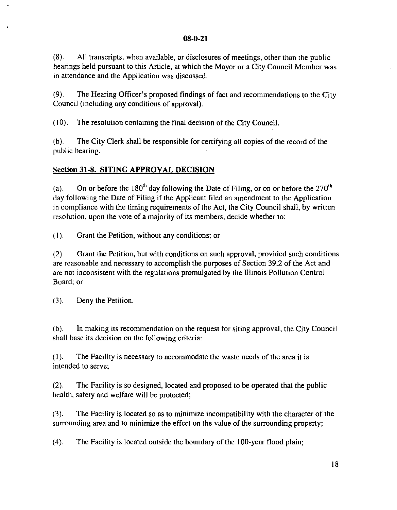(8). All transcripts, when available, or disclosures of meetings, other than the public hearings held pursuant to this Article, at which the Mayor or a City Council Member was in attendance and the Application was discussed.

(9). The Hearing Officer's proposed findings offact and recommendations to the City Council (including any conditions of approval).

 $(10)$ . The resolution containing the final decision of the City Council.

(b). The City Clerk shall be responsible for certifying all copies of the record of the public hearing.

## **Section 31-8. SITING APPROVAL DECISION**

(a). On or before the 180<sup>th</sup> day following the Date of Filing, or on or before the 270<sup>th</sup> day following the Date of Filing if the Applicant filed an amendment to the Application in compliance with the timing requirements of the Act, the City Council shall, by written resolution, upon the vote of a majority of its members, decide whether to:

(I). Grant the Petition, without any conditions; or

(2). Grant the Petition, but with conditions on such approval, provided such conditions are reasonable and necessary to accomplish the purposes of Section 39.2 of the Act and are not inconsistent with the regulations promulgated by the Illinois Pollution Control Board; or

(3). Deny the Petition.

(b). In making its recommendation on the request for siting approval, the City Council shall base its decision on the following criteria:

(I). The Facility is necessary to accommodate the waste needs of the area it is intended to serve;

(2). The Facility is so designed, located and proposed to be operated that the public health, safety and welfare will be protected;

(3). The Facility is located so as to minimize incompatibility with the character of the surrounding area and to minimize the effect on the value of the surrounding property;

(4). The Facility is located outside the boundary of the 100-year flood plain;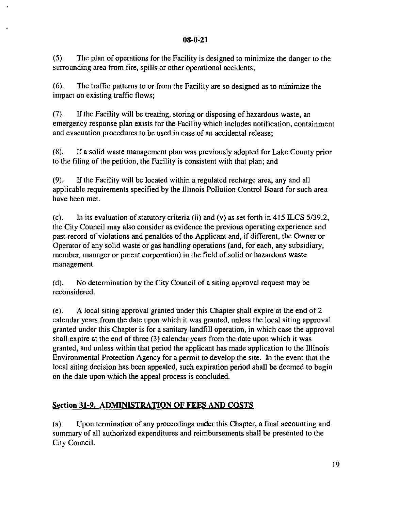(5). The plan of operations for the Facility is designed to minimize the danger to the surrounding area from fire, spills or other operational accidents;

(6). The traffic patterns to or from the Facility are so designed as to minimize the impact on existing traffic flows;

(7). If the Facility will be treating, storing or disposing of hazardous waste, an emergency response plan exists for the Facility which includes notification, containment and evacuation procedures to be used in case of an accidental release;

(8). If a solid waste management plan was previously adopted for Lake County prior to the filing of the petition, the Facility is consistent with that plan; and

(9). If the Facility will be located within a regulated recharge area, any and all applicable requirements specified by the llIinois Pollution Control Board for such area have been met.

(c). In its evaluation of statutory criteria (ii) and (v) as set forth in 415 ILCS 5/39.2, the City Council may also consider as evidence the previous operating experience and past record of violations and penalties of the Applicant and, if different, the Owner or Operator of any solid waste or gas handling operations (and, for each, any subsidiary, member, manager or parent corporation) in the field of solid or hazardous waste management.

(d). No determination by the City Council of a siting approval request may be reconsidered.

(e). A local siting approval granted under this Chapter shall expire at the end of 2 calendar years from the date upon which it was granted, unless the local siting approval granted under this Chapter is for a sanitary landfill operation, in which case the approval shall expire at the end of three (3) calendar years from the date upon which it was granted, and unless within that period the applicant has made application to the llIinois Environmental Protection Agency for a permit to develop the site. In the event that the local siting decision has been appealed, such expiration period shall be deemed to begin on the date upon which the appeal process is concluded.

# Section 31-9. **ADMINISTRATION OF** FEES AND COSTS

(a). Upon termination of any proceedings under this Chapter, a final accounting and summary of all authorized expenditures and reimbursements shall be presented to the City Council.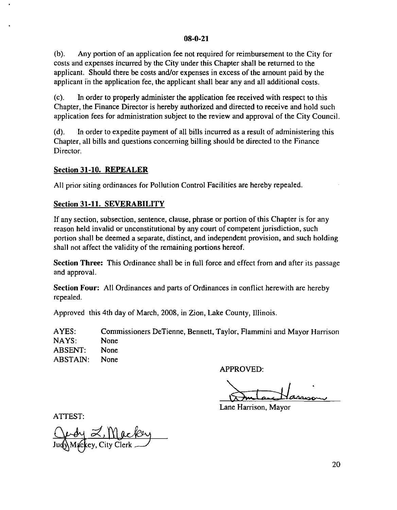(b). Any portion of an application fee not required for reimbursement to the City for costs and expenses incurred by the City under this Chapter shall be returned to the applicant. Should there be costs and/or expenses in excess of the amount paid by the applicant in the application fee, the applicant shall bear any and all additional costs.

(c). **In** order to properly administer the application fee received with respect to this Chapter, the Finance Director is hereby authorized and directed to receive and hold such application fees for administration subject to the review and approval of the City Council.

(d). **In** order to expedite payment of all bills incurred as a result of administering this Chapter, all bills and questions concerning billing should be directed to the Finance Director.

#### **Section 31-10. REPEALER**

All prior siting ordinances for Pollution Control Facilities are hereby repealed.

### **Section 31-11. SEVERABILITY**

If any section, subsection, sentence, clause, phrase or portion of this Chapter is for any reason held invalid or unconstitutional by any court of competent jurisdiction, such portion shall be deemed a separate, distinct, and independent provision, and such holding shall not affect the validity of the remaining portions hereof.

**Section Three:** This Ordinance shall be in full force and effect from and after its passage and approval.

**Section Four:** All Ordinances and parts of Ordinances in conflict herewith are hereby repealed.

Approved this 4th day of March, 2008, in Zion, Lake County, Illinois.

AYES: NAYS: ABSENT: ABSTAIN: Commissioners DeTienne, Bennett, Taylor, Flammini and Mayor Harrison None None None

APPROVED:

Lane Harrison, Mayor

ATTEST:

Judy Z, Mackey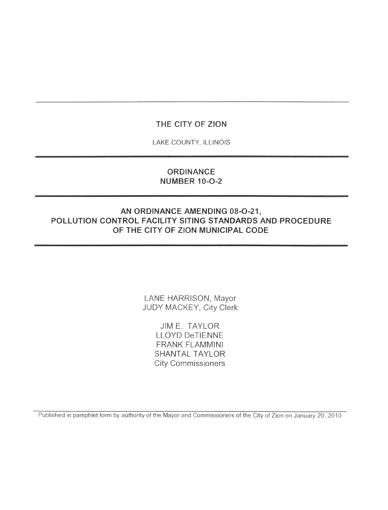## THE CITY OF ZION

LAKE COUNTY, ILLINOIS

## **ORDINANCE NUMBER 10-O-2**

## AN ORDINANCE AMENDING 08-O-21, POLLUTION CONTROL FACILITY SITING STANDARDS AND PROCEDURE OF THE CITY OF ZION MUNICIPAL CODE

LANE HARRISON, Mayor JUDY MACKEY, City Clerk

> **JIM E. TAYLOR LLOYD DeTIENNE FRANK FLAMMINI SHANTAL TAYLOR City Commissioners**

Published in pamphlet form by authority of the Mayor and Commissioners of the City of Zion on January 20, 2010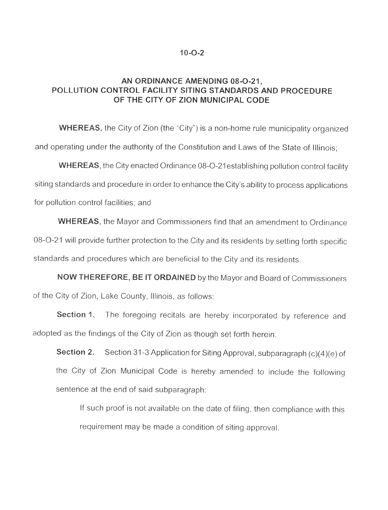#### $10 - 0 - 2$

## AN ORDINANCE AMENDING 08-O-21, POLLUTION CONTROL FACILITY SITING STANDARDS AND PROCEDURE OF THE CITY OF ZION MUNICIPAL CODE

**WHEREAS,** the City of Zion (the "City") is a non-home rule municipality organized and operating under the authority of the Constitution and Laws of the State of Illinois:

**WHEREAS**, the City enacted Ordinance 08-O-21 establishing pollution control facility siting standards and procedure in order to enhance the City's ability to process applications for pollution control facilities; and

**WHEREAS**, the Mayor and Commissioners find that an amendment to Ordinance 08-O-21 will provide further protection to the City and its residents by setting forth specific standards and procedures which are beneficial to the City and its residents.

NOW THEREFORE, BE IT ORDAINED by the Mayor and Board of Commissioners of the City of Zion, Lake County, Illinois, as follows:

The foregoing recitals are hereby incorporated by reference and Section 1. adopted as the findings of the City of Zion as though set forth herein.

Section 31-3 Application for Siting Approval, subparagraph (c)(4)(e) of Section 2. the City of Zion Municipal Code is hereby amended to include the following sentence at the end of said subparagraph:

If such proof is not available on the date of filing, then compliance with this requirement may be made a condition of siting approval.